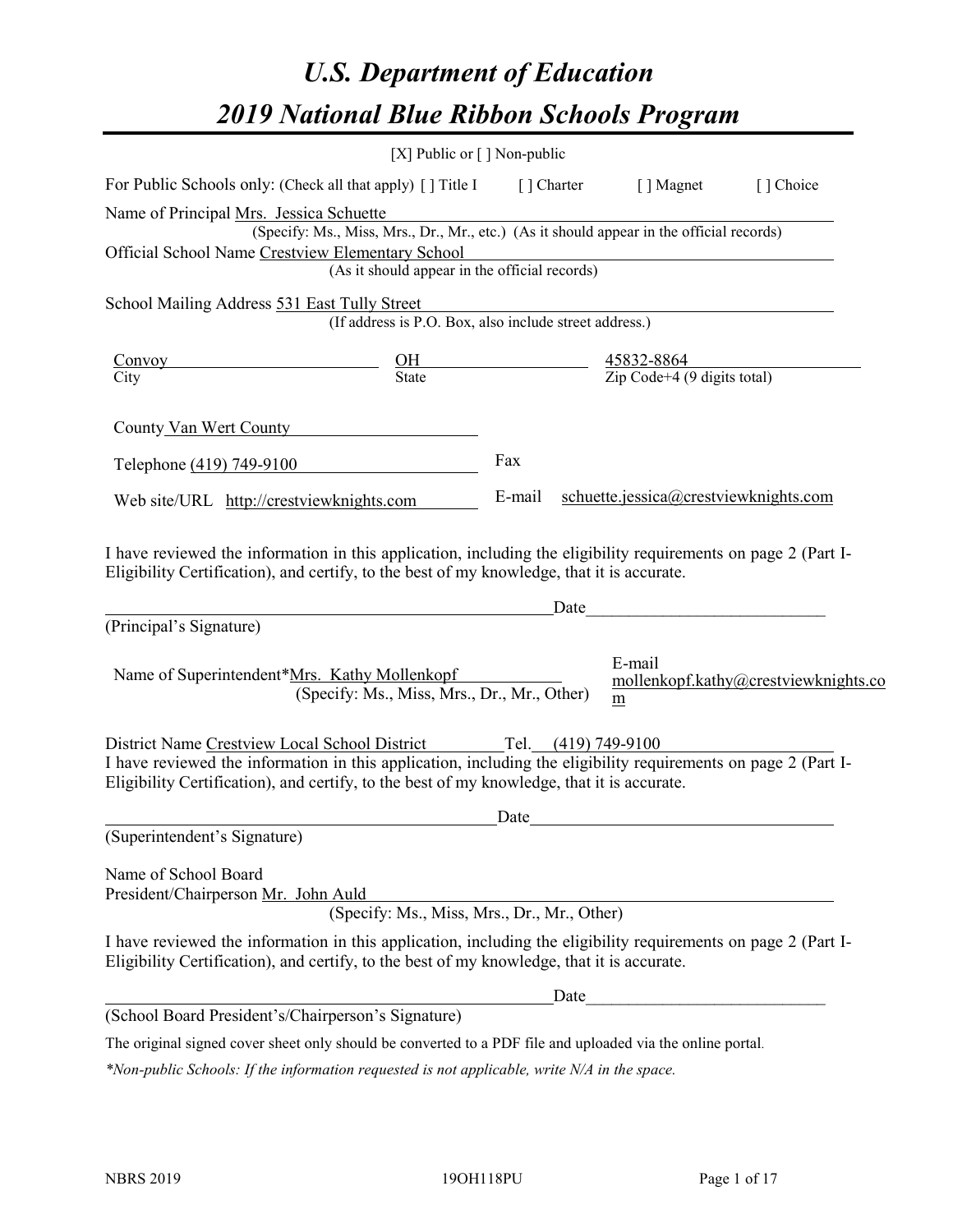# *U.S. Department of Education 2019 National Blue Ribbon Schools Program*

|                                                                                                                                                                                                                                                                                   | [X] Public or $\lceil$ ] Non-public |                               |       |                                                                   |                                      |
|-----------------------------------------------------------------------------------------------------------------------------------------------------------------------------------------------------------------------------------------------------------------------------------|-------------------------------------|-------------------------------|-------|-------------------------------------------------------------------|--------------------------------------|
| For Public Schools only: (Check all that apply) [ ] Title I                                                                                                                                                                                                                       |                                     | $\lceil \cdot \rceil$ Charter |       | [ ] Magnet                                                        | [] Choice                            |
| Name of Principal Mrs. Jessica Schuette                                                                                                                                                                                                                                           |                                     |                               |       |                                                                   |                                      |
| (Specify: Ms., Miss, Mrs., Dr., Mr., etc.) (As it should appear in the official records)                                                                                                                                                                                          |                                     |                               |       |                                                                   |                                      |
| Official School Name Crestview Elementary School<br>(As it should appear in the official records)                                                                                                                                                                                 |                                     |                               |       |                                                                   |                                      |
| School Mailing Address 531 East Tully Street                                                                                                                                                                                                                                      |                                     |                               |       |                                                                   |                                      |
| (If address is P.O. Box, also include street address.)                                                                                                                                                                                                                            |                                     |                               |       |                                                                   |                                      |
| <u>Convoy</u>                                                                                                                                                                                                                                                                     |                                     |                               |       |                                                                   |                                      |
| $\frac{\text{OH}}{\text{State}}$<br>$\overline{\text{City}}$                                                                                                                                                                                                                      |                                     |                               |       | $\frac{45832 - 8864}{\text{Zip Code}+4 (9 \text{ digits total})}$ |                                      |
| County Van Wert County                                                                                                                                                                                                                                                            |                                     |                               |       |                                                                   |                                      |
| Telephone (419) 749-9100                                                                                                                                                                                                                                                          |                                     | Fax                           |       |                                                                   |                                      |
| Web site/URL http://crestviewknights.com                                                                                                                                                                                                                                          |                                     | E-mail                        |       | schuette.jessica@crestviewknights.com                             |                                      |
| Eligibility Certification), and certify, to the best of my knowledge, that it is accurate.<br><u> 1989 - Johann Stone, fransk politiker (d. 1989)</u>                                                                                                                             |                                     |                               | _Date |                                                                   |                                      |
| (Principal's Signature)                                                                                                                                                                                                                                                           |                                     |                               |       |                                                                   |                                      |
| Name of Superintendent*Mrs. Kathy Mollenkopf<br>(Specify: Ms., Miss, Mrs., Dr., Mr., Other)                                                                                                                                                                                       |                                     |                               |       | E-mail<br>m                                                       | mollenkopf.kathy@crestviewknights.co |
| District Name Crestview Local School District Tel. (419) 749-9100<br>I have reviewed the information in this application, including the eligibility requirements on page 2 (Part I-<br>Eligibility Certification), and certify, to the best of my knowledge, that it is accurate. |                                     |                               |       |                                                                   |                                      |
|                                                                                                                                                                                                                                                                                   |                                     | Date                          |       |                                                                   |                                      |
| (Superintendent's Signature)                                                                                                                                                                                                                                                      |                                     |                               |       |                                                                   |                                      |
| Name of School Board<br>President/Chairperson Mr. John Auld<br>(Specify: Ms., Miss, Mrs., Dr., Mr., Other)                                                                                                                                                                        |                                     |                               |       |                                                                   |                                      |
| I have reviewed the information in this application, including the eligibility requirements on page 2 (Part I-<br>Eligibility Certification), and certify, to the best of my knowledge, that it is accurate.                                                                      |                                     |                               |       |                                                                   |                                      |
|                                                                                                                                                                                                                                                                                   |                                     |                               | Date  |                                                                   |                                      |
| (School Board President's/Chairperson's Signature)                                                                                                                                                                                                                                |                                     |                               |       |                                                                   |                                      |
| The original signed cover sheet only should be converted to a PDF file and uploaded via the online portal.                                                                                                                                                                        |                                     |                               |       |                                                                   |                                      |

*\*Non-public Schools: If the information requested is not applicable, write N/A in the space.*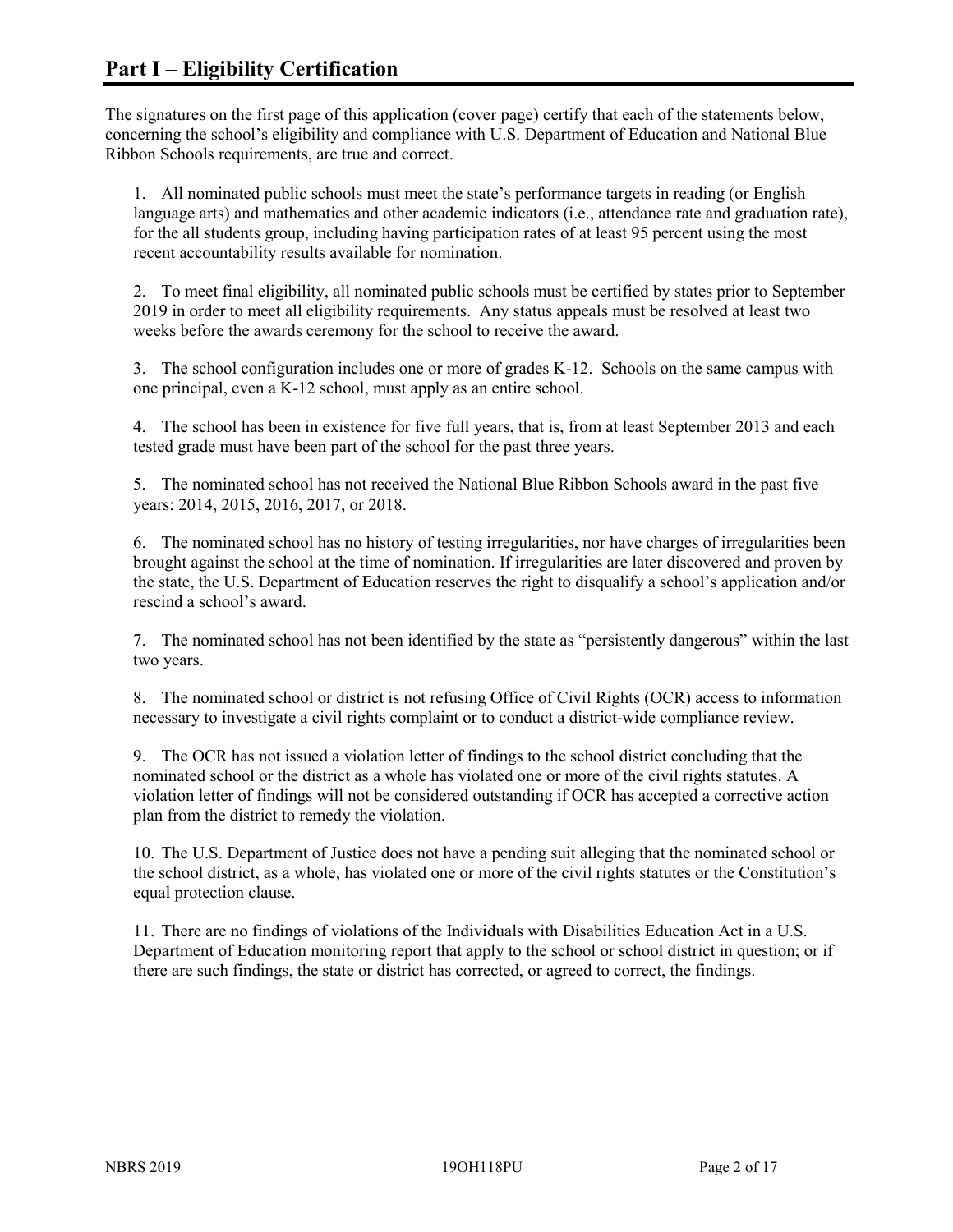The signatures on the first page of this application (cover page) certify that each of the statements below, concerning the school's eligibility and compliance with U.S. Department of Education and National Blue Ribbon Schools requirements, are true and correct.

1. All nominated public schools must meet the state's performance targets in reading (or English language arts) and mathematics and other academic indicators (i.e., attendance rate and graduation rate), for the all students group, including having participation rates of at least 95 percent using the most recent accountability results available for nomination.

2. To meet final eligibility, all nominated public schools must be certified by states prior to September 2019 in order to meet all eligibility requirements. Any status appeals must be resolved at least two weeks before the awards ceremony for the school to receive the award.

3. The school configuration includes one or more of grades K-12. Schools on the same campus with one principal, even a K-12 school, must apply as an entire school.

4. The school has been in existence for five full years, that is, from at least September 2013 and each tested grade must have been part of the school for the past three years.

5. The nominated school has not received the National Blue Ribbon Schools award in the past five years: 2014, 2015, 2016, 2017, or 2018.

6. The nominated school has no history of testing irregularities, nor have charges of irregularities been brought against the school at the time of nomination. If irregularities are later discovered and proven by the state, the U.S. Department of Education reserves the right to disqualify a school's application and/or rescind a school's award.

7. The nominated school has not been identified by the state as "persistently dangerous" within the last two years.

8. The nominated school or district is not refusing Office of Civil Rights (OCR) access to information necessary to investigate a civil rights complaint or to conduct a district-wide compliance review.

9. The OCR has not issued a violation letter of findings to the school district concluding that the nominated school or the district as a whole has violated one or more of the civil rights statutes. A violation letter of findings will not be considered outstanding if OCR has accepted a corrective action plan from the district to remedy the violation.

10. The U.S. Department of Justice does not have a pending suit alleging that the nominated school or the school district, as a whole, has violated one or more of the civil rights statutes or the Constitution's equal protection clause.

11. There are no findings of violations of the Individuals with Disabilities Education Act in a U.S. Department of Education monitoring report that apply to the school or school district in question; or if there are such findings, the state or district has corrected, or agreed to correct, the findings.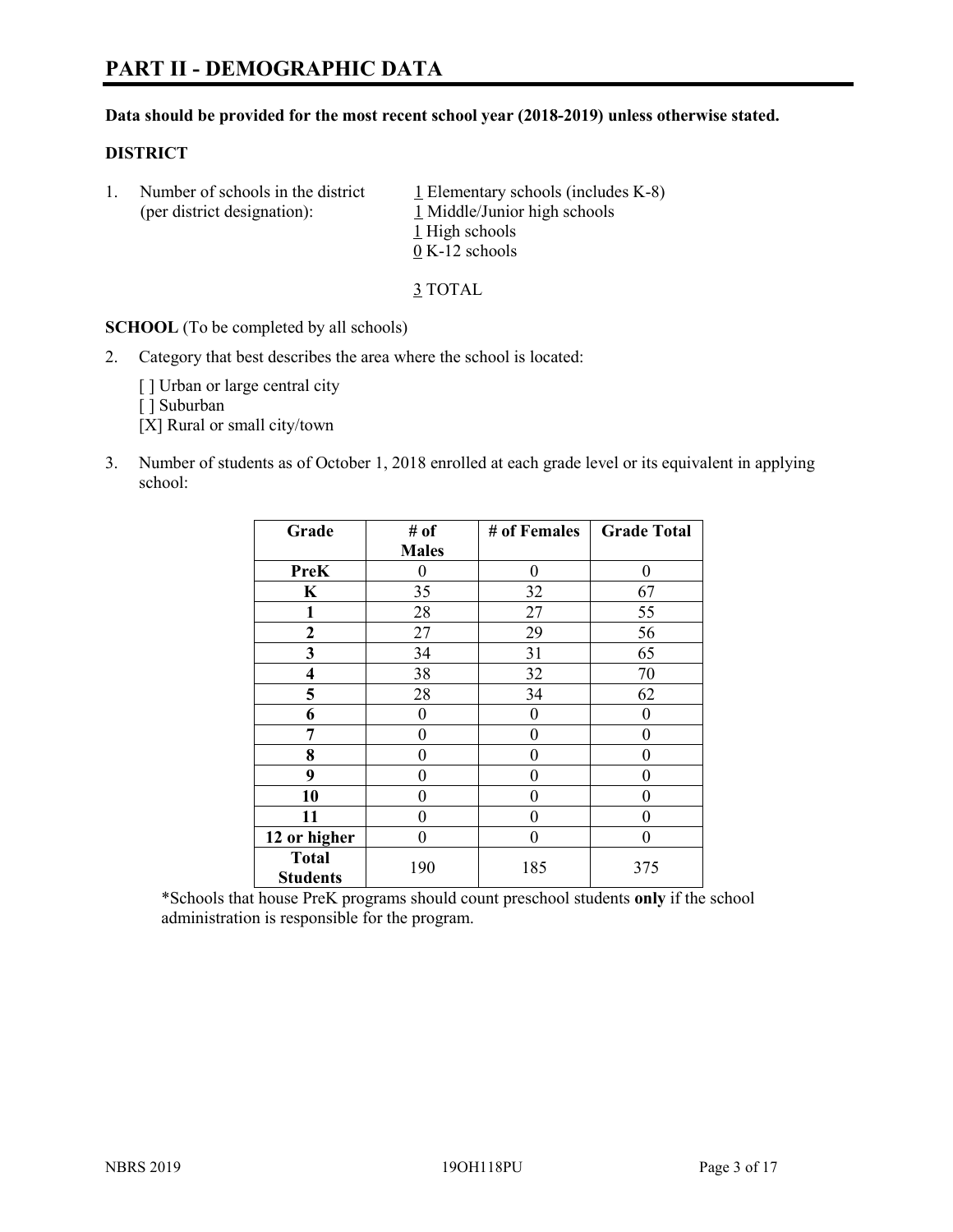# **PART II - DEMOGRAPHIC DATA**

#### **Data should be provided for the most recent school year (2018-2019) unless otherwise stated.**

#### **DISTRICT**

1. Number of schools in the district  $1$  Elementary schools (includes K-8) (per district designation): 1 Middle/Junior high schools 1 High schools 0 K-12 schools

3 TOTAL

**SCHOOL** (To be completed by all schools)

2. Category that best describes the area where the school is located:

[ ] Urban or large central city

[ ] Suburban

[X] Rural or small city/town

3. Number of students as of October 1, 2018 enrolled at each grade level or its equivalent in applying school:

| Grade                           | # of         | # of Females | <b>Grade Total</b> |
|---------------------------------|--------------|--------------|--------------------|
|                                 | <b>Males</b> |              |                    |
| <b>PreK</b>                     | 0            | $\theta$     | 0                  |
| $\mathbf K$                     | 35           | 32           | 67                 |
| 1                               | 28           | 27           | 55                 |
| 2                               | 27           | 29           | 56                 |
| 3                               | 34           | 31           | 65                 |
| $\overline{\mathbf{4}}$         | 38           | 32           | 70                 |
| 5                               | 28           | 34           | 62                 |
| 6                               | 0            | $\theta$     | 0                  |
| 7                               | 0            | $\theta$     | 0                  |
| 8                               | 0            | 0            | 0                  |
| 9                               | 0            | $\theta$     | 0                  |
| 10                              | 0            | 0            | 0                  |
| 11                              | $\theta$     | 0            | 0                  |
| 12 or higher                    | 0            | 0            | 0                  |
| <b>Total</b><br><b>Students</b> | 190          | 185          | 375                |

\*Schools that house PreK programs should count preschool students **only** if the school administration is responsible for the program.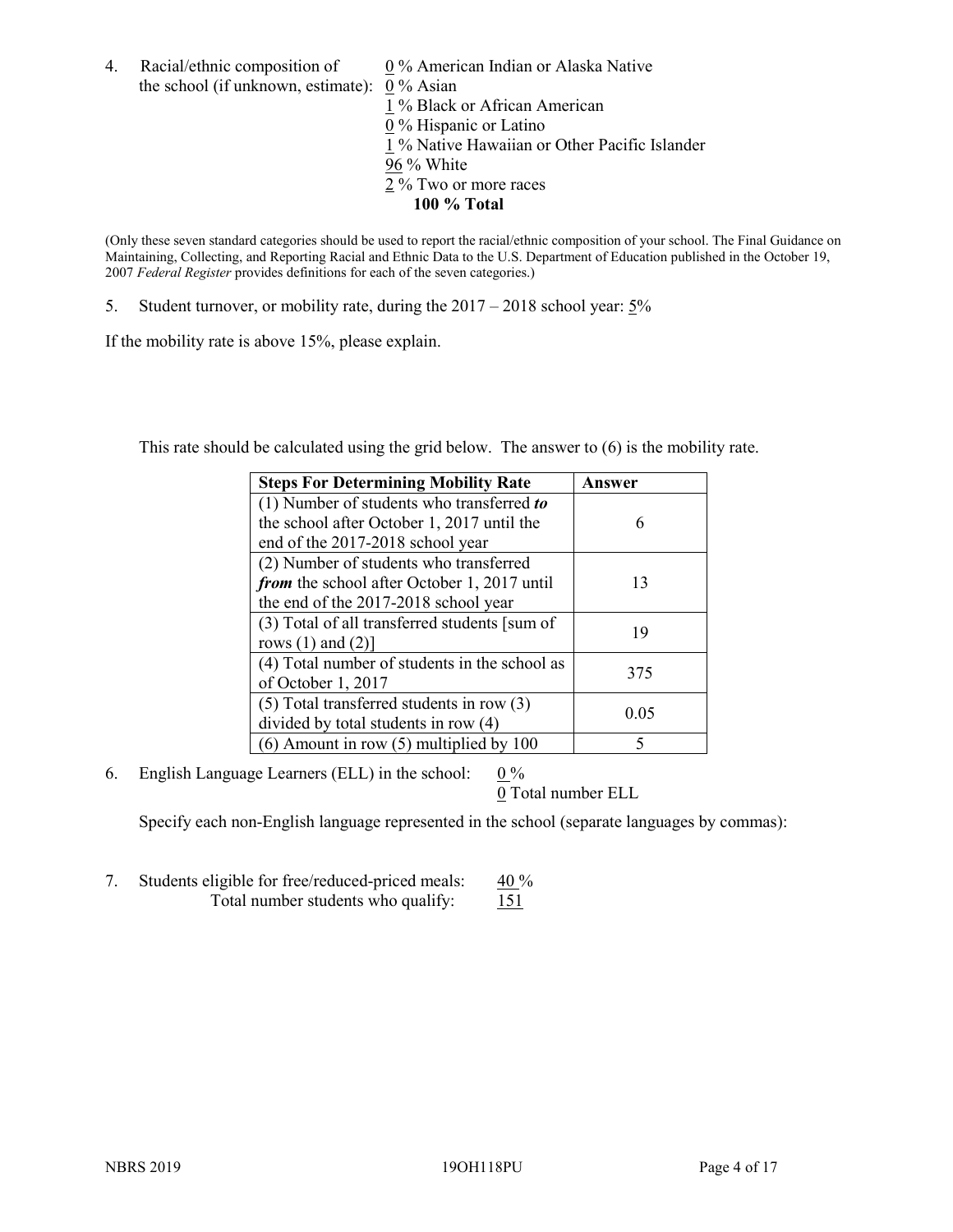4. Racial/ethnic composition of  $0\%$  American Indian or Alaska Native the school (if unknown, estimate): 0 % Asian

 % Black or African American % Hispanic or Latino % Native Hawaiian or Other Pacific Islander 96 % White % Two or more races **100 % Total**

(Only these seven standard categories should be used to report the racial/ethnic composition of your school. The Final Guidance on Maintaining, Collecting, and Reporting Racial and Ethnic Data to the U.S. Department of Education published in the October 19, 2007 *Federal Register* provides definitions for each of the seven categories.)

5. Student turnover, or mobility rate, during the 2017 – 2018 school year: 5%

If the mobility rate is above 15%, please explain.

This rate should be calculated using the grid below. The answer to (6) is the mobility rate.

| <b>Steps For Determining Mobility Rate</b>    | Answer |
|-----------------------------------------------|--------|
| (1) Number of students who transferred to     |        |
| the school after October 1, 2017 until the    | 6      |
| end of the 2017-2018 school year              |        |
| (2) Number of students who transferred        |        |
| from the school after October 1, 2017 until   | 13     |
| the end of the 2017-2018 school year          |        |
| (3) Total of all transferred students [sum of | 19     |
| rows $(1)$ and $(2)$ ]                        |        |
| (4) Total number of students in the school as |        |
| of October 1, 2017                            | 375    |
| $(5)$ Total transferred students in row $(3)$ |        |
| divided by total students in row (4)          | 0.05   |
| $(6)$ Amount in row $(5)$ multiplied by 100   |        |

6. English Language Learners (ELL) in the school:  $0\%$ 

0 Total number ELL

Specify each non-English language represented in the school (separate languages by commas):

7. Students eligible for free/reduced-priced meals:  $40\%$ Total number students who qualify: 151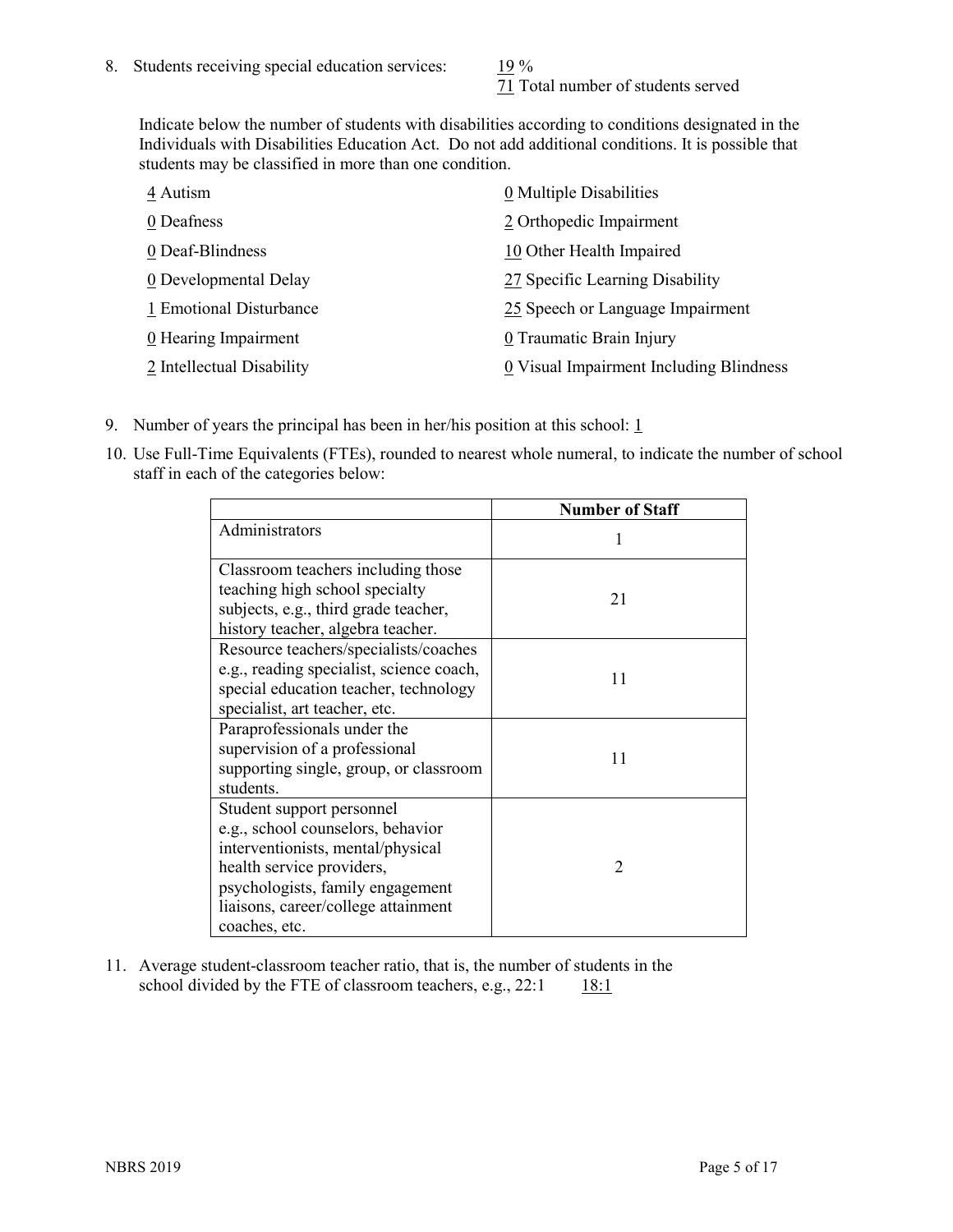71 Total number of students served

Indicate below the number of students with disabilities according to conditions designated in the Individuals with Disabilities Education Act. Do not add additional conditions. It is possible that students may be classified in more than one condition.

| 4 Autism                  | 0 Multiple Disabilities                 |
|---------------------------|-----------------------------------------|
| 0 Deafness                | 2 Orthopedic Impairment                 |
| 0 Deaf-Blindness          | 10 Other Health Impaired                |
| 0 Developmental Delay     | 27 Specific Learning Disability         |
| 1 Emotional Disturbance   | 25 Speech or Language Impairment        |
| 0 Hearing Impairment      | 0 Traumatic Brain Injury                |
| 2 Intellectual Disability | 0 Visual Impairment Including Blindness |

- 9. Number of years the principal has been in her/his position at this school:  $1$
- 10. Use Full-Time Equivalents (FTEs), rounded to nearest whole numeral, to indicate the number of school staff in each of the categories below:

|                                                                                                                                                                                                                              | <b>Number of Staff</b> |
|------------------------------------------------------------------------------------------------------------------------------------------------------------------------------------------------------------------------------|------------------------|
| Administrators                                                                                                                                                                                                               |                        |
| Classroom teachers including those<br>teaching high school specialty<br>subjects, e.g., third grade teacher,<br>history teacher, algebra teacher.                                                                            | 21                     |
| Resource teachers/specialists/coaches<br>e.g., reading specialist, science coach,<br>special education teacher, technology<br>specialist, art teacher, etc.                                                                  | 11                     |
| Paraprofessionals under the<br>supervision of a professional<br>supporting single, group, or classroom<br>students.                                                                                                          | 11                     |
| Student support personnel<br>e.g., school counselors, behavior<br>interventionists, mental/physical<br>health service providers,<br>psychologists, family engagement<br>liaisons, career/college attainment<br>coaches, etc. | $\mathfrak{D}$         |

11. Average student-classroom teacher ratio, that is, the number of students in the school divided by the FTE of classroom teachers, e.g.,  $22:1$  18:1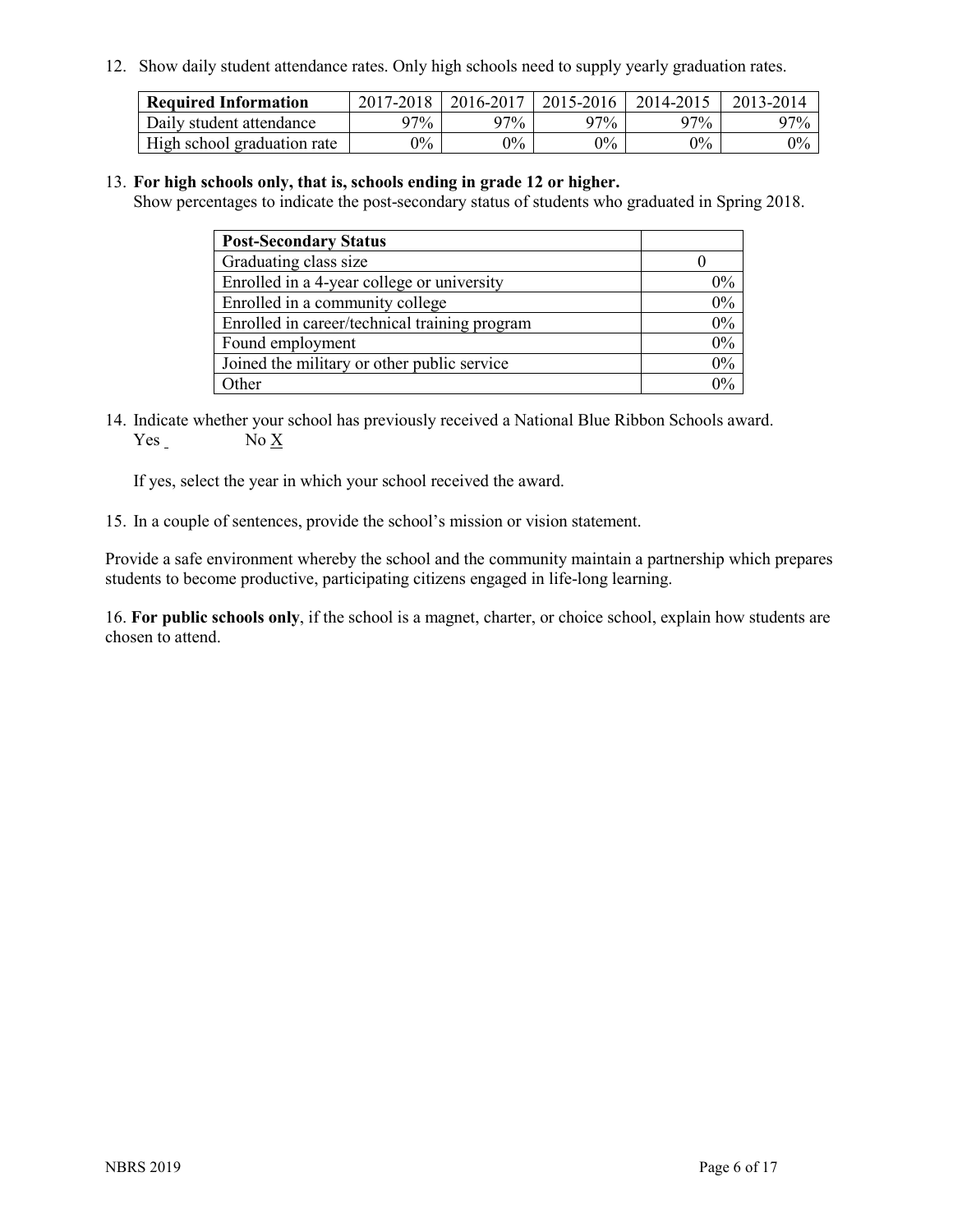12. Show daily student attendance rates. Only high schools need to supply yearly graduation rates.

| <b>Required Information</b> | 2017-2018 | 2016-2017 | 2015-2016 | 2014-2015 | 2013-2014 |
|-----------------------------|-----------|-----------|-----------|-----------|-----------|
| Daily student attendance    | 97%       | 97%       | 97%       | 97%       | $97\%$    |
| High school graduation rate | $0\%$     | $0\%$     | $0\%$     | $9\%$     | $0\%$     |

#### 13. **For high schools only, that is, schools ending in grade 12 or higher.**

Show percentages to indicate the post-secondary status of students who graduated in Spring 2018.

| <b>Post-Secondary Status</b>                  |       |
|-----------------------------------------------|-------|
| Graduating class size                         |       |
| Enrolled in a 4-year college or university    | $0\%$ |
| Enrolled in a community college               | 0%    |
| Enrolled in career/technical training program | 0%    |
| Found employment                              | 0%    |
| Joined the military or other public service   | 0%    |
| Other                                         | $0\%$ |

14. Indicate whether your school has previously received a National Blue Ribbon Schools award. Yes No X

If yes, select the year in which your school received the award.

15. In a couple of sentences, provide the school's mission or vision statement.

Provide a safe environment whereby the school and the community maintain a partnership which prepares students to become productive, participating citizens engaged in life-long learning.

16. **For public schools only**, if the school is a magnet, charter, or choice school, explain how students are chosen to attend.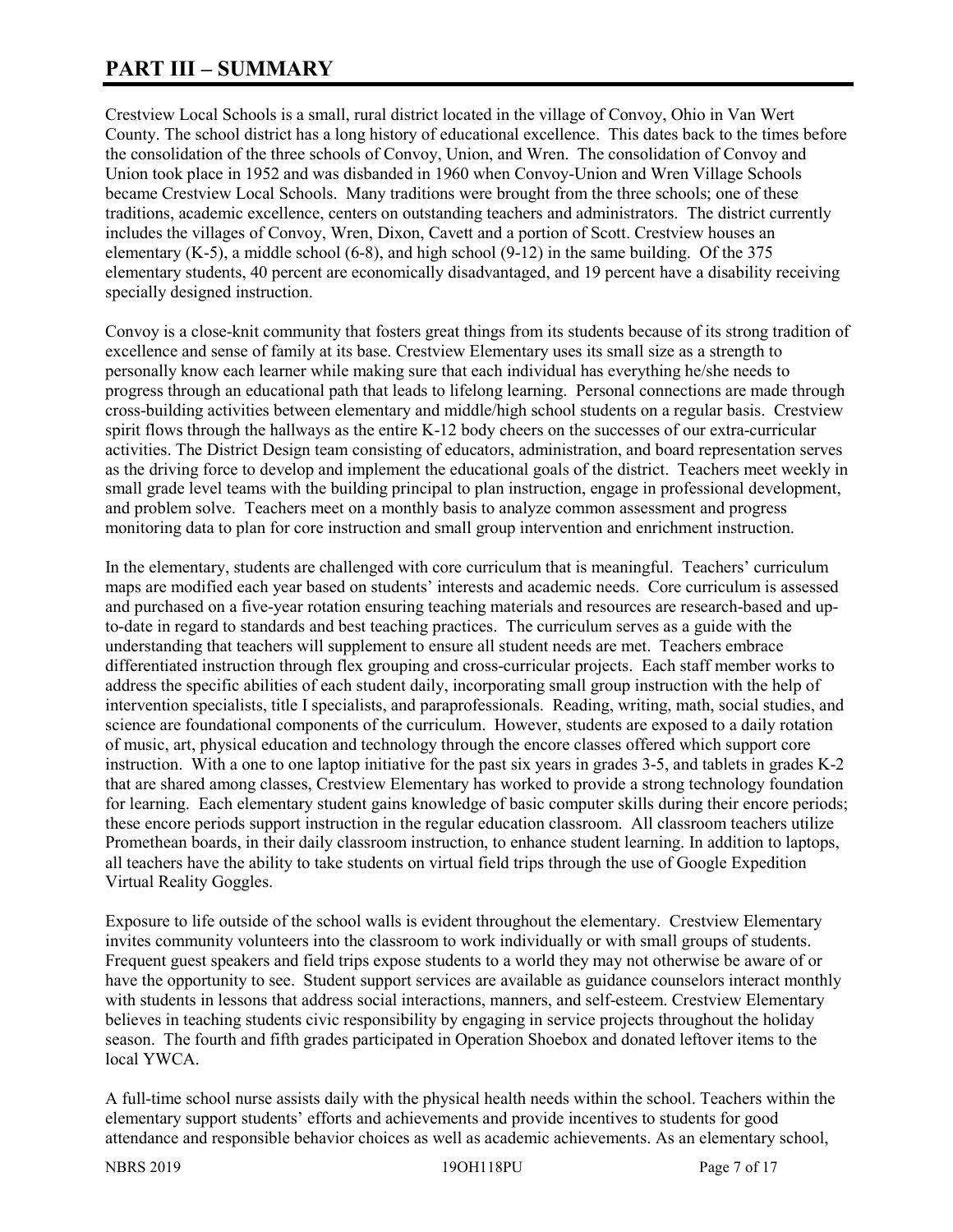# **PART III – SUMMARY**

Crestview Local Schools is a small, rural district located in the village of Convoy, Ohio in Van Wert County. The school district has a long history of educational excellence. This dates back to the times before the consolidation of the three schools of Convoy, Union, and Wren. The consolidation of Convoy and Union took place in 1952 and was disbanded in 1960 when Convoy-Union and Wren Village Schools became Crestview Local Schools. Many traditions were brought from the three schools; one of these traditions, academic excellence, centers on outstanding teachers and administrators. The district currently includes the villages of Convoy, Wren, Dixon, Cavett and a portion of Scott. Crestview houses an elementary (K-5), a middle school (6-8), and high school (9-12) in the same building. Of the 375 elementary students, 40 percent are economically disadvantaged, and 19 percent have a disability receiving specially designed instruction.

Convoy is a close-knit community that fosters great things from its students because of its strong tradition of excellence and sense of family at its base. Crestview Elementary uses its small size as a strength to personally know each learner while making sure that each individual has everything he/she needs to progress through an educational path that leads to lifelong learning. Personal connections are made through cross-building activities between elementary and middle/high school students on a regular basis. Crestview spirit flows through the hallways as the entire K-12 body cheers on the successes of our extra-curricular activities. The District Design team consisting of educators, administration, and board representation serves as the driving force to develop and implement the educational goals of the district. Teachers meet weekly in small grade level teams with the building principal to plan instruction, engage in professional development, and problem solve. Teachers meet on a monthly basis to analyze common assessment and progress monitoring data to plan for core instruction and small group intervention and enrichment instruction.

In the elementary, students are challenged with core curriculum that is meaningful. Teachers' curriculum maps are modified each year based on students' interests and academic needs. Core curriculum is assessed and purchased on a five-year rotation ensuring teaching materials and resources are research-based and upto-date in regard to standards and best teaching practices. The curriculum serves as a guide with the understanding that teachers will supplement to ensure all student needs are met. Teachers embrace differentiated instruction through flex grouping and cross-curricular projects. Each staff member works to address the specific abilities of each student daily, incorporating small group instruction with the help of intervention specialists, title I specialists, and paraprofessionals. Reading, writing, math, social studies, and science are foundational components of the curriculum. However, students are exposed to a daily rotation of music, art, physical education and technology through the encore classes offered which support core instruction. With a one to one laptop initiative for the past six years in grades 3-5, and tablets in grades K-2 that are shared among classes, Crestview Elementary has worked to provide a strong technology foundation for learning. Each elementary student gains knowledge of basic computer skills during their encore periods; these encore periods support instruction in the regular education classroom. All classroom teachers utilize Promethean boards, in their daily classroom instruction, to enhance student learning. In addition to laptops, all teachers have the ability to take students on virtual field trips through the use of Google Expedition Virtual Reality Goggles.

Exposure to life outside of the school walls is evident throughout the elementary. Crestview Elementary invites community volunteers into the classroom to work individually or with small groups of students. Frequent guest speakers and field trips expose students to a world they may not otherwise be aware of or have the opportunity to see. Student support services are available as guidance counselors interact monthly with students in lessons that address social interactions, manners, and self-esteem. Crestview Elementary believes in teaching students civic responsibility by engaging in service projects throughout the holiday season. The fourth and fifth grades participated in Operation Shoebox and donated leftover items to the local YWCA.

A full-time school nurse assists daily with the physical health needs within the school. Teachers within the elementary support students' efforts and achievements and provide incentives to students for good attendance and responsible behavior choices as well as academic achievements. As an elementary school,

NBRS 2019 19OH118PU Page 7 of 17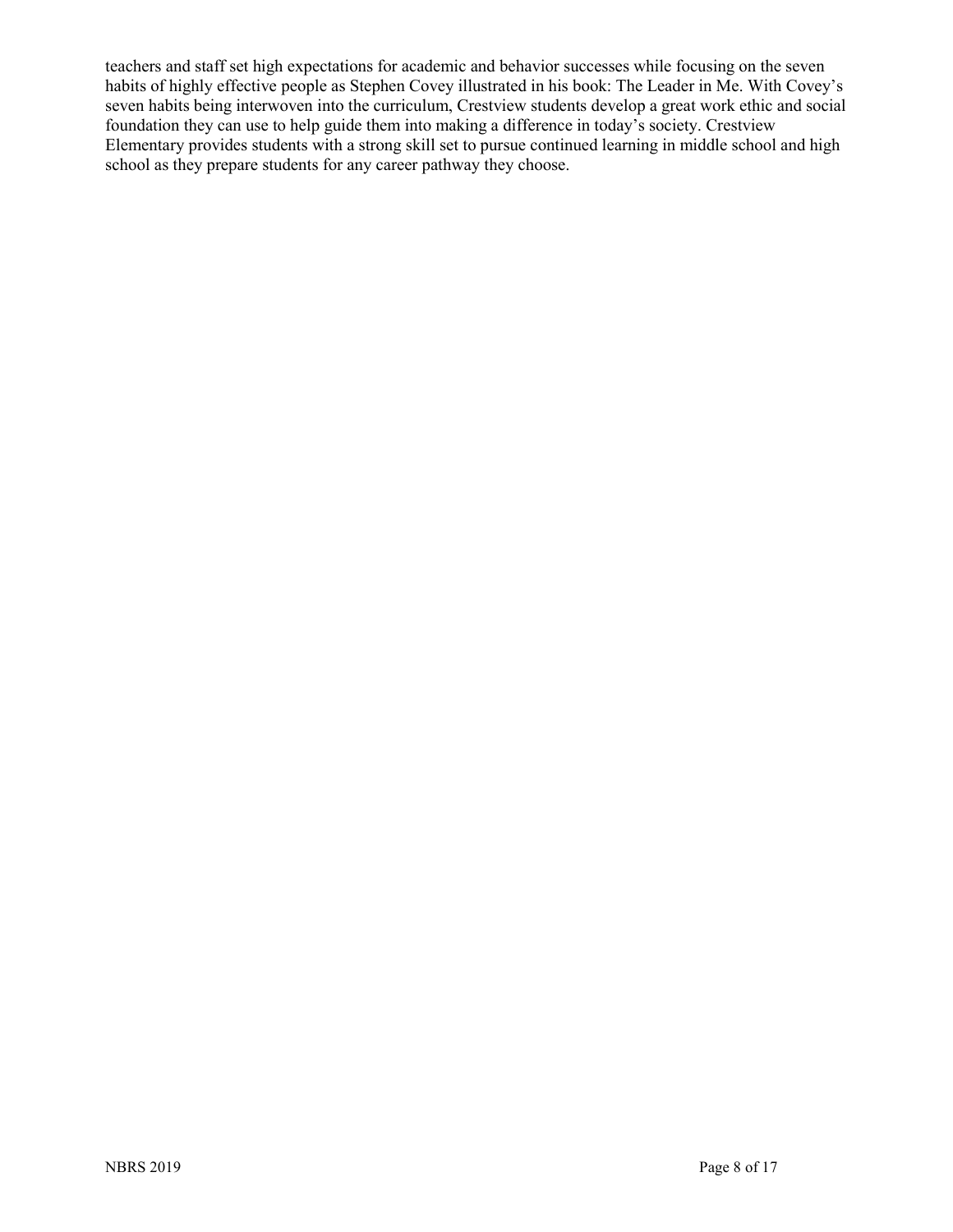teachers and staff set high expectations for academic and behavior successes while focusing on the seven habits of highly effective people as Stephen Covey illustrated in his book: The Leader in Me. With Covey's seven habits being interwoven into the curriculum, Crestview students develop a great work ethic and social foundation they can use to help guide them into making a difference in today's society. Crestview Elementary provides students with a strong skill set to pursue continued learning in middle school and high school as they prepare students for any career pathway they choose.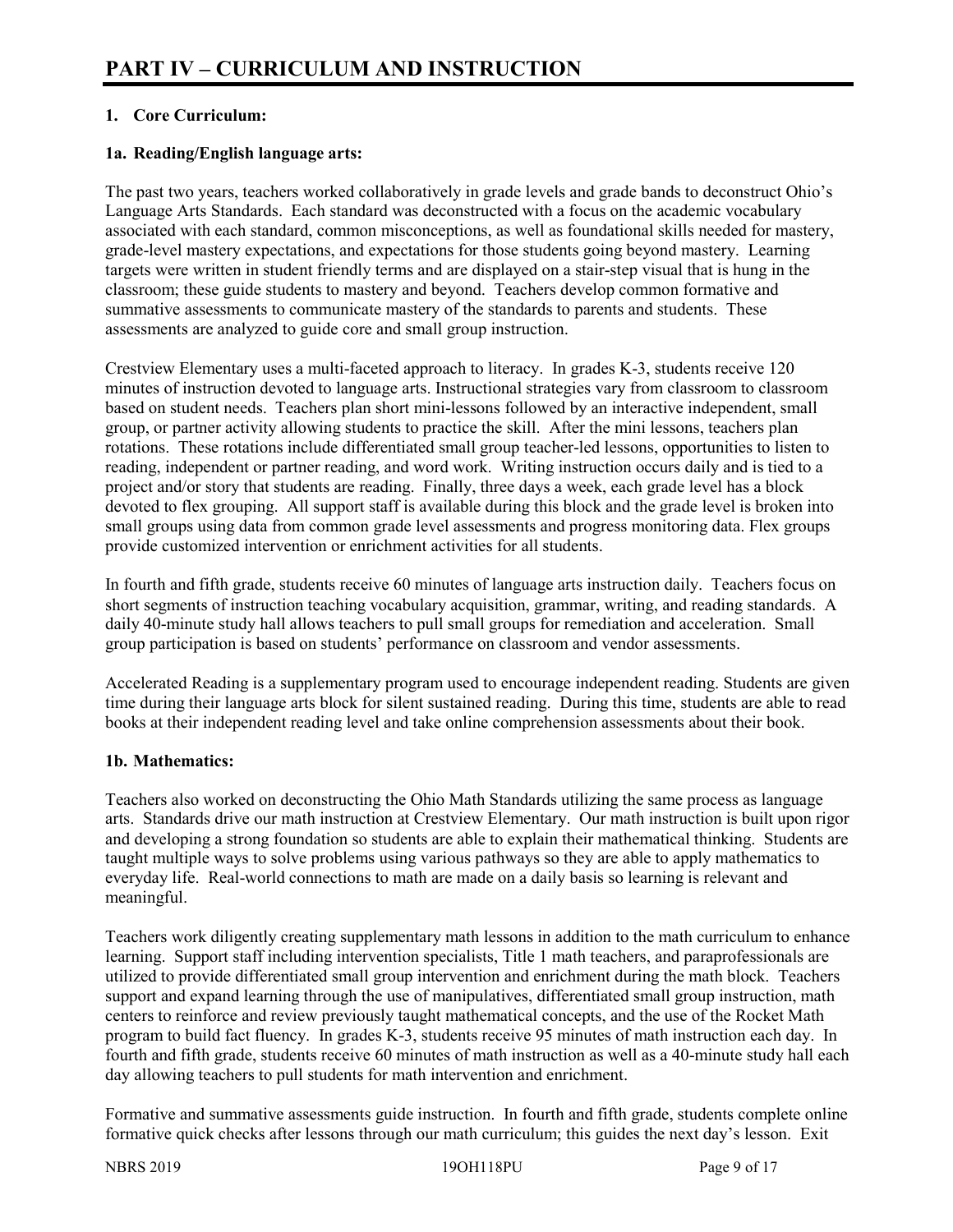# **1. Core Curriculum:**

# **1a. Reading/English language arts:**

The past two years, teachers worked collaboratively in grade levels and grade bands to deconstruct Ohio's Language Arts Standards. Each standard was deconstructed with a focus on the academic vocabulary associated with each standard, common misconceptions, as well as foundational skills needed for mastery, grade-level mastery expectations, and expectations for those students going beyond mastery. Learning targets were written in student friendly terms and are displayed on a stair-step visual that is hung in the classroom; these guide students to mastery and beyond. Teachers develop common formative and summative assessments to communicate mastery of the standards to parents and students. These assessments are analyzed to guide core and small group instruction.

Crestview Elementary uses a multi-faceted approach to literacy. In grades K-3, students receive 120 minutes of instruction devoted to language arts. Instructional strategies vary from classroom to classroom based on student needs. Teachers plan short mini-lessons followed by an interactive independent, small group, or partner activity allowing students to practice the skill. After the mini lessons, teachers plan rotations. These rotations include differentiated small group teacher-led lessons, opportunities to listen to reading, independent or partner reading, and word work. Writing instruction occurs daily and is tied to a project and/or story that students are reading. Finally, three days a week, each grade level has a block devoted to flex grouping. All support staff is available during this block and the grade level is broken into small groups using data from common grade level assessments and progress monitoring data. Flex groups provide customized intervention or enrichment activities for all students.

In fourth and fifth grade, students receive 60 minutes of language arts instruction daily. Teachers focus on short segments of instruction teaching vocabulary acquisition, grammar, writing, and reading standards. A daily 40-minute study hall allows teachers to pull small groups for remediation and acceleration. Small group participation is based on students' performance on classroom and vendor assessments.

Accelerated Reading is a supplementary program used to encourage independent reading. Students are given time during their language arts block for silent sustained reading. During this time, students are able to read books at their independent reading level and take online comprehension assessments about their book.

# **1b. Mathematics:**

Teachers also worked on deconstructing the Ohio Math Standards utilizing the same process as language arts. Standards drive our math instruction at Crestview Elementary. Our math instruction is built upon rigor and developing a strong foundation so students are able to explain their mathematical thinking. Students are taught multiple ways to solve problems using various pathways so they are able to apply mathematics to everyday life. Real-world connections to math are made on a daily basis so learning is relevant and meaningful.

Teachers work diligently creating supplementary math lessons in addition to the math curriculum to enhance learning. Support staff including intervention specialists, Title 1 math teachers, and paraprofessionals are utilized to provide differentiated small group intervention and enrichment during the math block. Teachers support and expand learning through the use of manipulatives, differentiated small group instruction, math centers to reinforce and review previously taught mathematical concepts, and the use of the Rocket Math program to build fact fluency. In grades K-3, students receive 95 minutes of math instruction each day. In fourth and fifth grade, students receive 60 minutes of math instruction as well as a 40-minute study hall each day allowing teachers to pull students for math intervention and enrichment.

Formative and summative assessments guide instruction. In fourth and fifth grade, students complete online formative quick checks after lessons through our math curriculum; this guides the next day's lesson. Exit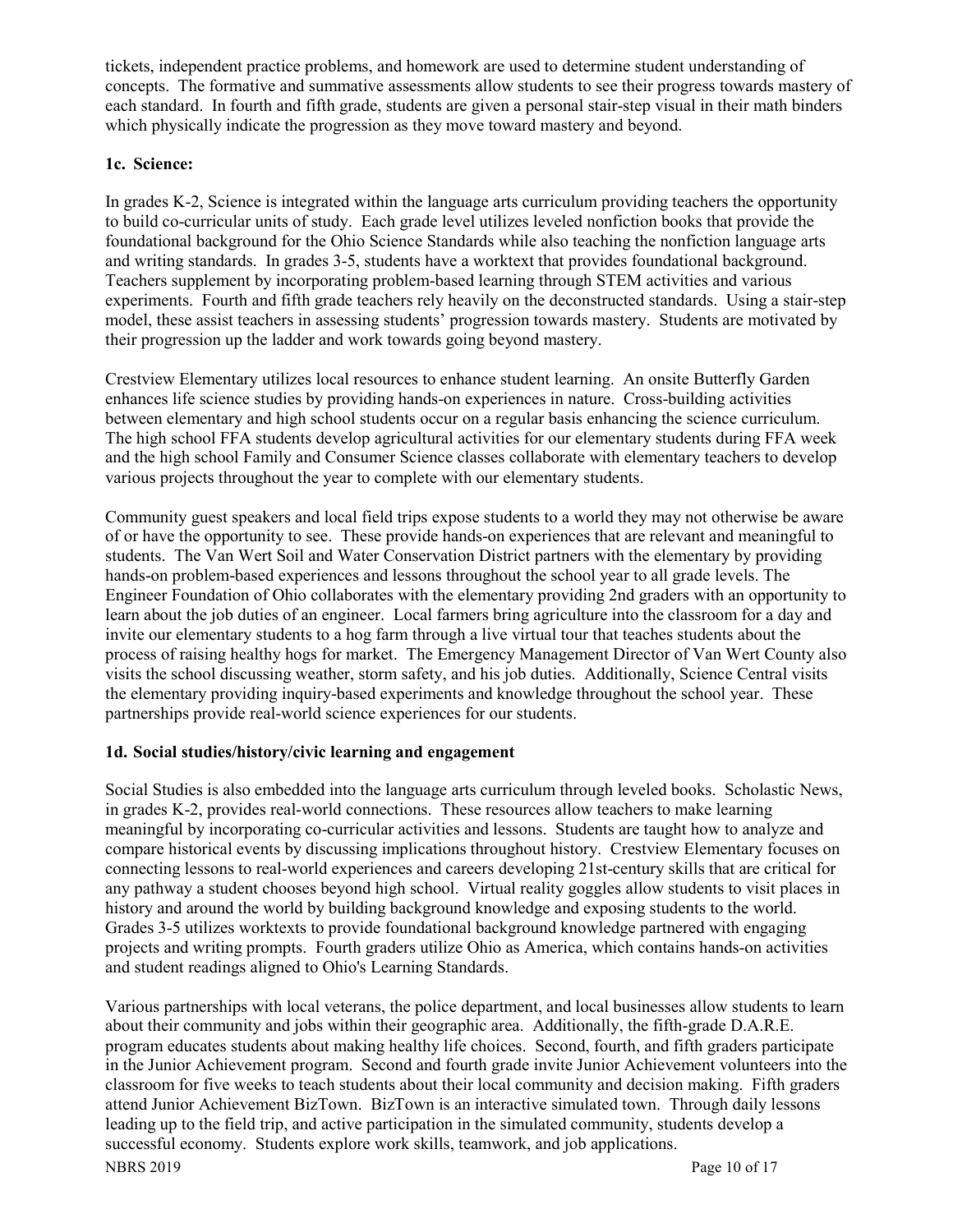tickets, independent practice problems, and homework are used to determine student understanding of concepts. The formative and summative assessments allow students to see their progress towards mastery of each standard. In fourth and fifth grade, students are given a personal stair-step visual in their math binders which physically indicate the progression as they move toward mastery and beyond.

# **1c. Science:**

In grades K-2, Science is integrated within the language arts curriculum providing teachers the opportunity to build co-curricular units of study. Each grade level utilizes leveled nonfiction books that provide the foundational background for the Ohio Science Standards while also teaching the nonfiction language arts and writing standards. In grades 3-5, students have a worktext that provides foundational background. Teachers supplement by incorporating problem-based learning through STEM activities and various experiments. Fourth and fifth grade teachers rely heavily on the deconstructed standards. Using a stair-step model, these assist teachers in assessing students' progression towards mastery. Students are motivated by their progression up the ladder and work towards going beyond mastery.

Crestview Elementary utilizes local resources to enhance student learning. An onsite Butterfly Garden enhances life science studies by providing hands-on experiences in nature. Cross-building activities between elementary and high school students occur on a regular basis enhancing the science curriculum. The high school FFA students develop agricultural activities for our elementary students during FFA week and the high school Family and Consumer Science classes collaborate with elementary teachers to develop various projects throughout the year to complete with our elementary students.

Community guest speakers and local field trips expose students to a world they may not otherwise be aware of or have the opportunity to see. These provide hands-on experiences that are relevant and meaningful to students. The Van Wert Soil and Water Conservation District partners with the elementary by providing hands-on problem-based experiences and lessons throughout the school year to all grade levels. The Engineer Foundation of Ohio collaborates with the elementary providing 2nd graders with an opportunity to learn about the job duties of an engineer. Local farmers bring agriculture into the classroom for a day and invite our elementary students to a hog farm through a live virtual tour that teaches students about the process of raising healthy hogs for market. The Emergency Management Director of Van Wert County also visits the school discussing weather, storm safety, and his job duties. Additionally, Science Central visits the elementary providing inquiry-based experiments and knowledge throughout the school year. These partnerships provide real-world science experiences for our students.

#### **1d. Social studies/history/civic learning and engagement**

Social Studies is also embedded into the language arts curriculum through leveled books. Scholastic News, in grades K-2, provides real-world connections. These resources allow teachers to make learning meaningful by incorporating co-curricular activities and lessons. Students are taught how to analyze and compare historical events by discussing implications throughout history. Crestview Elementary focuses on connecting lessons to real-world experiences and careers developing 21st-century skills that are critical for any pathway a student chooses beyond high school. Virtual reality goggles allow students to visit places in history and around the world by building background knowledge and exposing students to the world. Grades 3-5 utilizes worktexts to provide foundational background knowledge partnered with engaging projects and writing prompts. Fourth graders utilize Ohio as America, which contains hands-on activities and student readings aligned to Ohio's Learning Standards.

NBRS 2019 Page 10 of 17 Various partnerships with local veterans, the police department, and local businesses allow students to learn about their community and jobs within their geographic area. Additionally, the fifth-grade D.A.R.E. program educates students about making healthy life choices. Second, fourth, and fifth graders participate in the Junior Achievement program. Second and fourth grade invite Junior Achievement volunteers into the classroom for five weeks to teach students about their local community and decision making. Fifth graders attend Junior Achievement BizTown. BizTown is an interactive simulated town. Through daily lessons leading up to the field trip, and active participation in the simulated community, students develop a successful economy. Students explore work skills, teamwork, and job applications.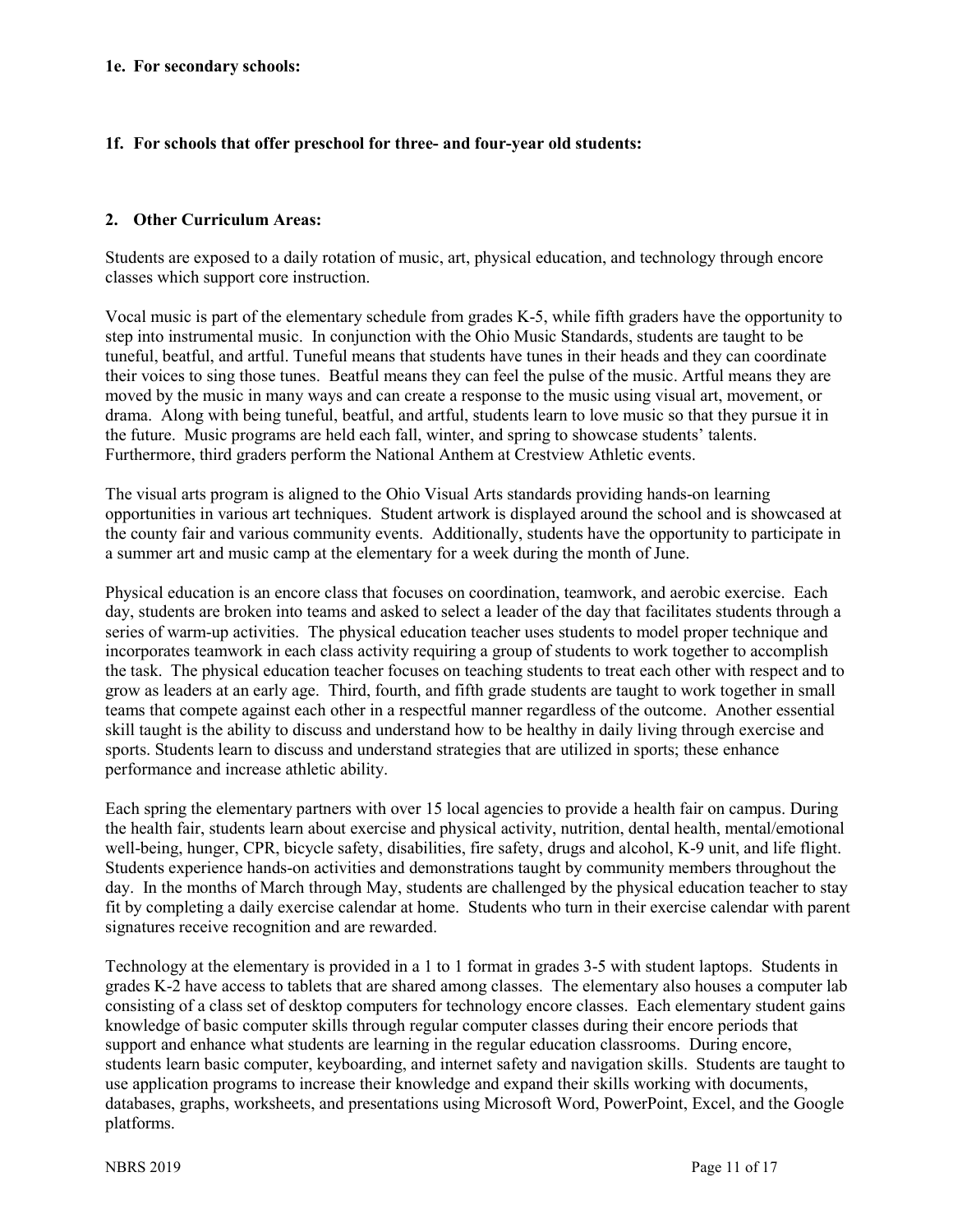## **1f. For schools that offer preschool for three- and four-year old students:**

## **2. Other Curriculum Areas:**

Students are exposed to a daily rotation of music, art, physical education, and technology through encore classes which support core instruction.

Vocal music is part of the elementary schedule from grades K-5, while fifth graders have the opportunity to step into instrumental music. In conjunction with the Ohio Music Standards, students are taught to be tuneful, beatful, and artful. Tuneful means that students have tunes in their heads and they can coordinate their voices to sing those tunes. Beatful means they can feel the pulse of the music. Artful means they are moved by the music in many ways and can create a response to the music using visual art, movement, or drama. Along with being tuneful, beatful, and artful, students learn to love music so that they pursue it in the future. Music programs are held each fall, winter, and spring to showcase students' talents. Furthermore, third graders perform the National Anthem at Crestview Athletic events.

The visual arts program is aligned to the Ohio Visual Arts standards providing hands-on learning opportunities in various art techniques. Student artwork is displayed around the school and is showcased at the county fair and various community events. Additionally, students have the opportunity to participate in a summer art and music camp at the elementary for a week during the month of June.

Physical education is an encore class that focuses on coordination, teamwork, and aerobic exercise. Each day, students are broken into teams and asked to select a leader of the day that facilitates students through a series of warm-up activities. The physical education teacher uses students to model proper technique and incorporates teamwork in each class activity requiring a group of students to work together to accomplish the task. The physical education teacher focuses on teaching students to treat each other with respect and to grow as leaders at an early age. Third, fourth, and fifth grade students are taught to work together in small teams that compete against each other in a respectful manner regardless of the outcome. Another essential skill taught is the ability to discuss and understand how to be healthy in daily living through exercise and sports. Students learn to discuss and understand strategies that are utilized in sports; these enhance performance and increase athletic ability.

Each spring the elementary partners with over 15 local agencies to provide a health fair on campus. During the health fair, students learn about exercise and physical activity, nutrition, dental health, mental/emotional well-being, hunger, CPR, bicycle safety, disabilities, fire safety, drugs and alcohol, K-9 unit, and life flight. Students experience hands-on activities and demonstrations taught by community members throughout the day. In the months of March through May, students are challenged by the physical education teacher to stay fit by completing a daily exercise calendar at home. Students who turn in their exercise calendar with parent signatures receive recognition and are rewarded.

Technology at the elementary is provided in a 1 to 1 format in grades 3-5 with student laptops. Students in grades K-2 have access to tablets that are shared among classes. The elementary also houses a computer lab consisting of a class set of desktop computers for technology encore classes. Each elementary student gains knowledge of basic computer skills through regular computer classes during their encore periods that support and enhance what students are learning in the regular education classrooms. During encore, students learn basic computer, keyboarding, and internet safety and navigation skills. Students are taught to use application programs to increase their knowledge and expand their skills working with documents, databases, graphs, worksheets, and presentations using Microsoft Word, PowerPoint, Excel, and the Google platforms.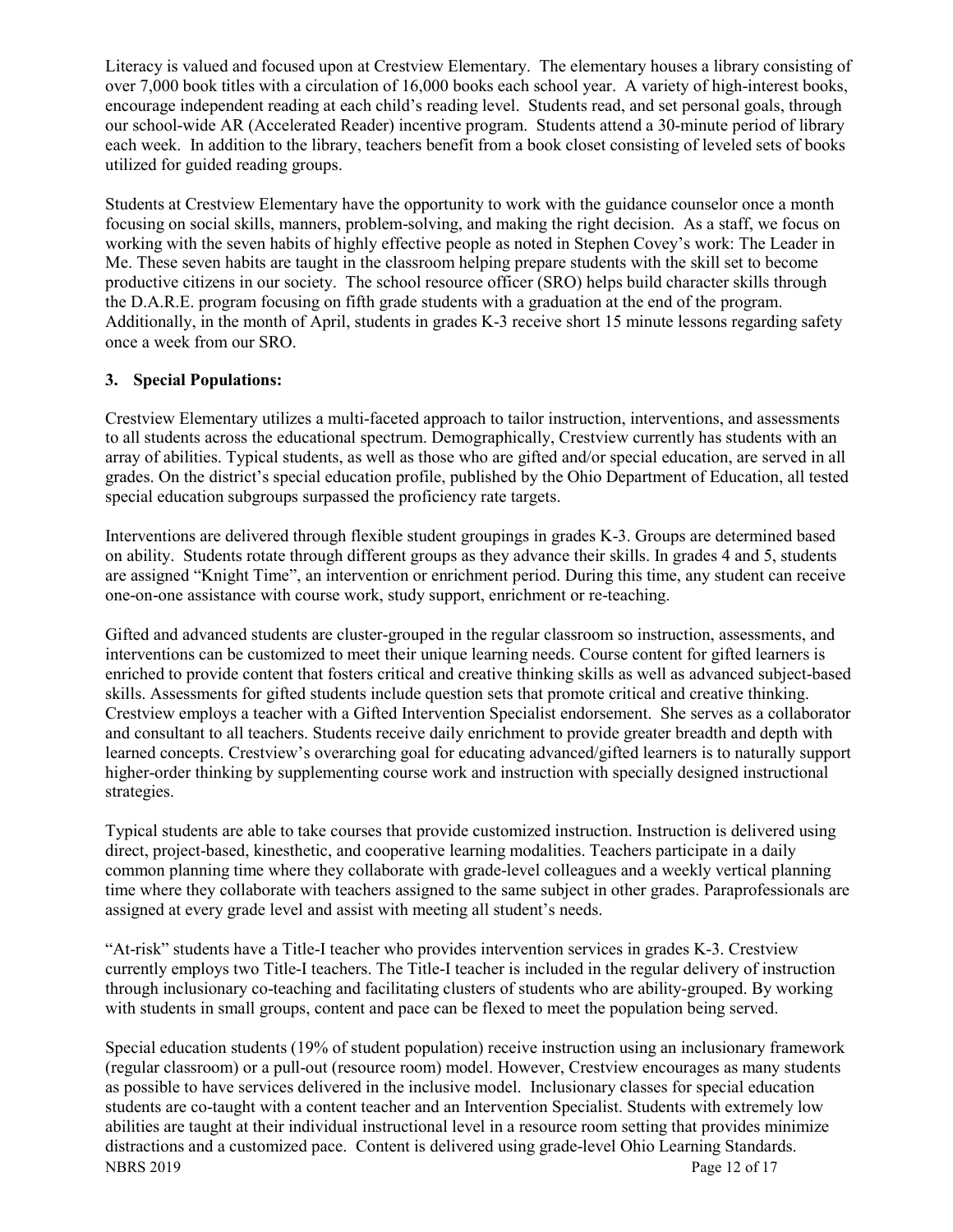Literacy is valued and focused upon at Crestview Elementary. The elementary houses a library consisting of over 7,000 book titles with a circulation of 16,000 books each school year. A variety of high-interest books, encourage independent reading at each child's reading level. Students read, and set personal goals, through our school-wide AR (Accelerated Reader) incentive program. Students attend a 30-minute period of library each week. In addition to the library, teachers benefit from a book closet consisting of leveled sets of books utilized for guided reading groups.

Students at Crestview Elementary have the opportunity to work with the guidance counselor once a month focusing on social skills, manners, problem-solving, and making the right decision. As a staff, we focus on working with the seven habits of highly effective people as noted in Stephen Covey's work: The Leader in Me. These seven habits are taught in the classroom helping prepare students with the skill set to become productive citizens in our society. The school resource officer (SRO) helps build character skills through the D.A.R.E. program focusing on fifth grade students with a graduation at the end of the program. Additionally, in the month of April, students in grades K-3 receive short 15 minute lessons regarding safety once a week from our SRO.

# **3. Special Populations:**

Crestview Elementary utilizes a multi-faceted approach to tailor instruction, interventions, and assessments to all students across the educational spectrum. Demographically, Crestview currently has students with an array of abilities. Typical students, as well as those who are gifted and/or special education, are served in all grades. On the district's special education profile, published by the Ohio Department of Education, all tested special education subgroups surpassed the proficiency rate targets.

Interventions are delivered through flexible student groupings in grades K-3. Groups are determined based on ability. Students rotate through different groups as they advance their skills. In grades 4 and 5, students are assigned "Knight Time", an intervention or enrichment period. During this time, any student can receive one-on-one assistance with course work, study support, enrichment or re-teaching.

Gifted and advanced students are cluster-grouped in the regular classroom so instruction, assessments, and interventions can be customized to meet their unique learning needs. Course content for gifted learners is enriched to provide content that fosters critical and creative thinking skills as well as advanced subject-based skills. Assessments for gifted students include question sets that promote critical and creative thinking. Crestview employs a teacher with a Gifted Intervention Specialist endorsement. She serves as a collaborator and consultant to all teachers. Students receive daily enrichment to provide greater breadth and depth with learned concepts. Crestview's overarching goal for educating advanced/gifted learners is to naturally support higher-order thinking by supplementing course work and instruction with specially designed instructional strategies.

Typical students are able to take courses that provide customized instruction. Instruction is delivered using direct, project-based, kinesthetic, and cooperative learning modalities. Teachers participate in a daily common planning time where they collaborate with grade-level colleagues and a weekly vertical planning time where they collaborate with teachers assigned to the same subject in other grades. Paraprofessionals are assigned at every grade level and assist with meeting all student's needs.

"At-risk" students have a Title-I teacher who provides intervention services in grades K-3. Crestview currently employs two Title-I teachers. The Title-I teacher is included in the regular delivery of instruction through inclusionary co-teaching and facilitating clusters of students who are ability-grouped. By working with students in small groups, content and pace can be flexed to meet the population being served.

NBRS 2019 Page 12 of 17 Special education students (19% of student population) receive instruction using an inclusionary framework (regular classroom) or a pull-out (resource room) model. However, Crestview encourages as many students as possible to have services delivered in the inclusive model. Inclusionary classes for special education students are co-taught with a content teacher and an Intervention Specialist. Students with extremely low abilities are taught at their individual instructional level in a resource room setting that provides minimize distractions and a customized pace. Content is delivered using grade-level Ohio Learning Standards.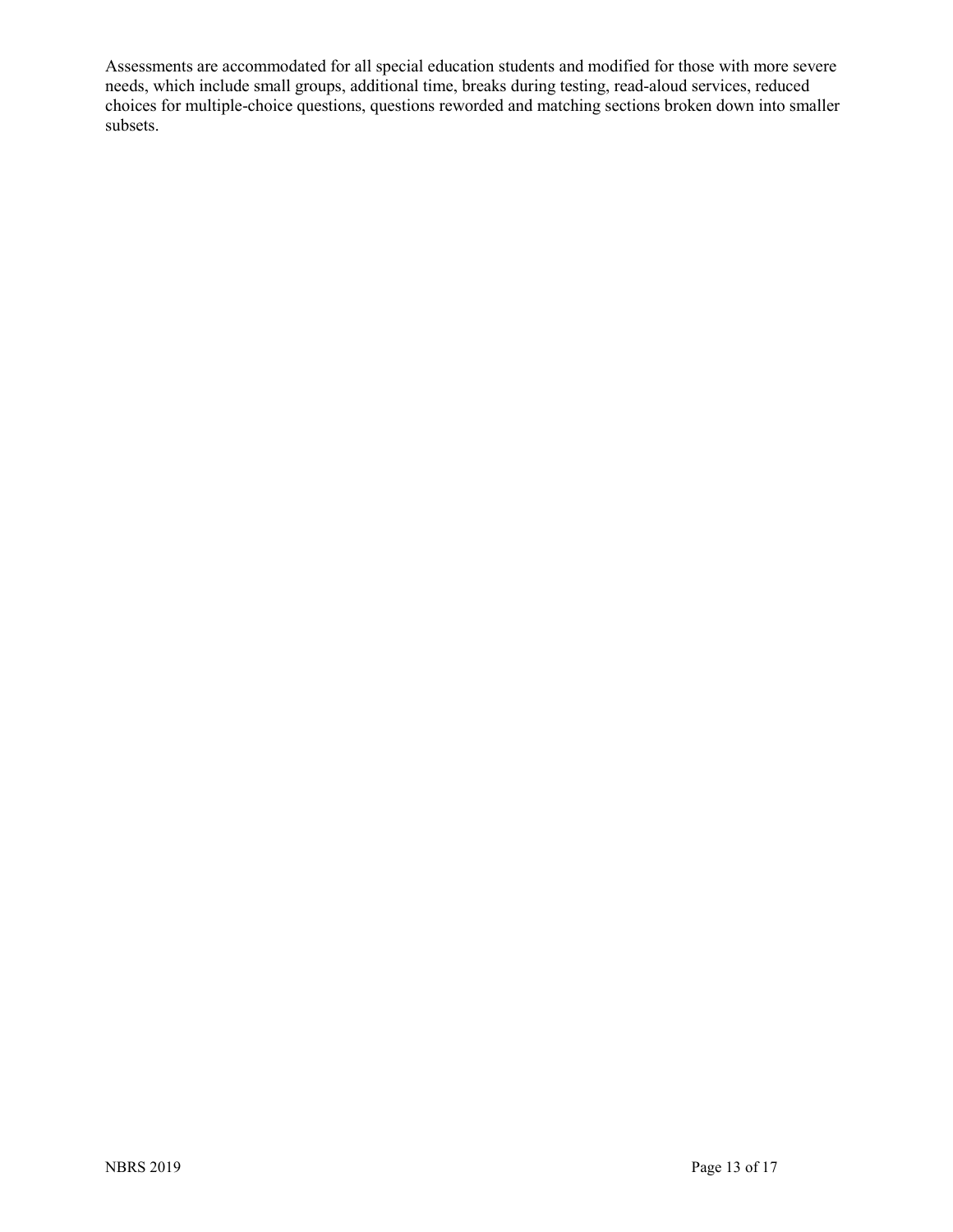Assessments are accommodated for all special education students and modified for those with more severe needs, which include small groups, additional time, breaks during testing, read-aloud services, reduced choices for multiple-choice questions, questions reworded and matching sections broken down into smaller subsets.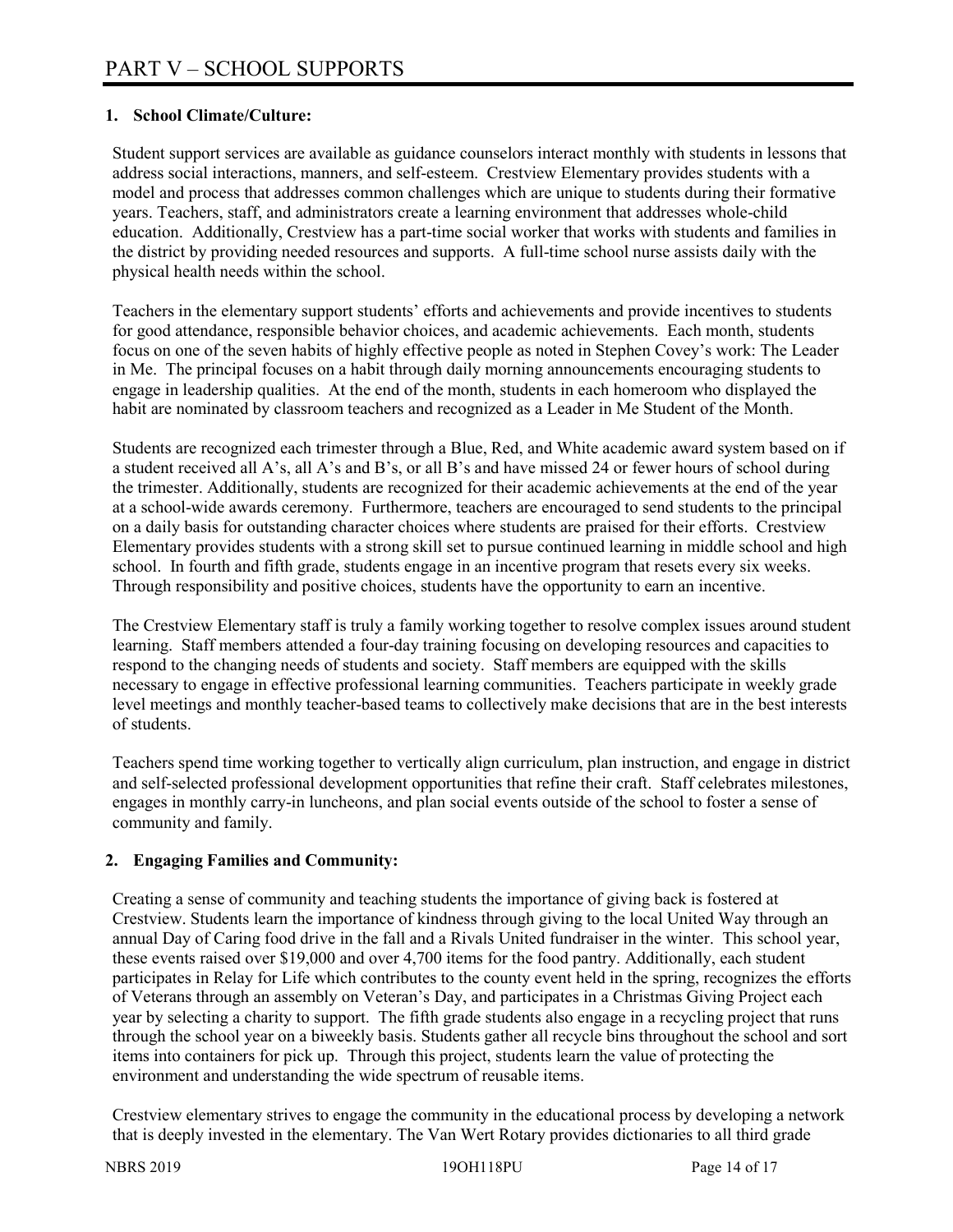# **1. School Climate/Culture:**

Student support services are available as guidance counselors interact monthly with students in lessons that address social interactions, manners, and self-esteem. Crestview Elementary provides students with a model and process that addresses common challenges which are unique to students during their formative years. Teachers, staff, and administrators create a learning environment that addresses whole-child education. Additionally, Crestview has a part-time social worker that works with students and families in the district by providing needed resources and supports. A full-time school nurse assists daily with the physical health needs within the school.

Teachers in the elementary support students' efforts and achievements and provide incentives to students for good attendance, responsible behavior choices, and academic achievements. Each month, students focus on one of the seven habits of highly effective people as noted in Stephen Covey's work: The Leader in Me. The principal focuses on a habit through daily morning announcements encouraging students to engage in leadership qualities. At the end of the month, students in each homeroom who displayed the habit are nominated by classroom teachers and recognized as a Leader in Me Student of the Month.

Students are recognized each trimester through a Blue, Red, and White academic award system based on if a student received all A's, all A's and B's, or all B's and have missed 24 or fewer hours of school during the trimester. Additionally, students are recognized for their academic achievements at the end of the year at a school-wide awards ceremony. Furthermore, teachers are encouraged to send students to the principal on a daily basis for outstanding character choices where students are praised for their efforts. Crestview Elementary provides students with a strong skill set to pursue continued learning in middle school and high school. In fourth and fifth grade, students engage in an incentive program that resets every six weeks. Through responsibility and positive choices, students have the opportunity to earn an incentive.

The Crestview Elementary staff is truly a family working together to resolve complex issues around student learning. Staff members attended a four-day training focusing on developing resources and capacities to respond to the changing needs of students and society. Staff members are equipped with the skills necessary to engage in effective professional learning communities. Teachers participate in weekly grade level meetings and monthly teacher-based teams to collectively make decisions that are in the best interests of students.

Teachers spend time working together to vertically align curriculum, plan instruction, and engage in district and self-selected professional development opportunities that refine their craft. Staff celebrates milestones, engages in monthly carry-in luncheons, and plan social events outside of the school to foster a sense of community and family.

# **2. Engaging Families and Community:**

Creating a sense of community and teaching students the importance of giving back is fostered at Crestview. Students learn the importance of kindness through giving to the local United Way through an annual Day of Caring food drive in the fall and a Rivals United fundraiser in the winter. This school year, these events raised over \$19,000 and over 4,700 items for the food pantry. Additionally, each student participates in Relay for Life which contributes to the county event held in the spring, recognizes the efforts of Veterans through an assembly on Veteran's Day, and participates in a Christmas Giving Project each year by selecting a charity to support. The fifth grade students also engage in a recycling project that runs through the school year on a biweekly basis. Students gather all recycle bins throughout the school and sort items into containers for pick up. Through this project, students learn the value of protecting the environment and understanding the wide spectrum of reusable items.

Crestview elementary strives to engage the community in the educational process by developing a network that is deeply invested in the elementary. The Van Wert Rotary provides dictionaries to all third grade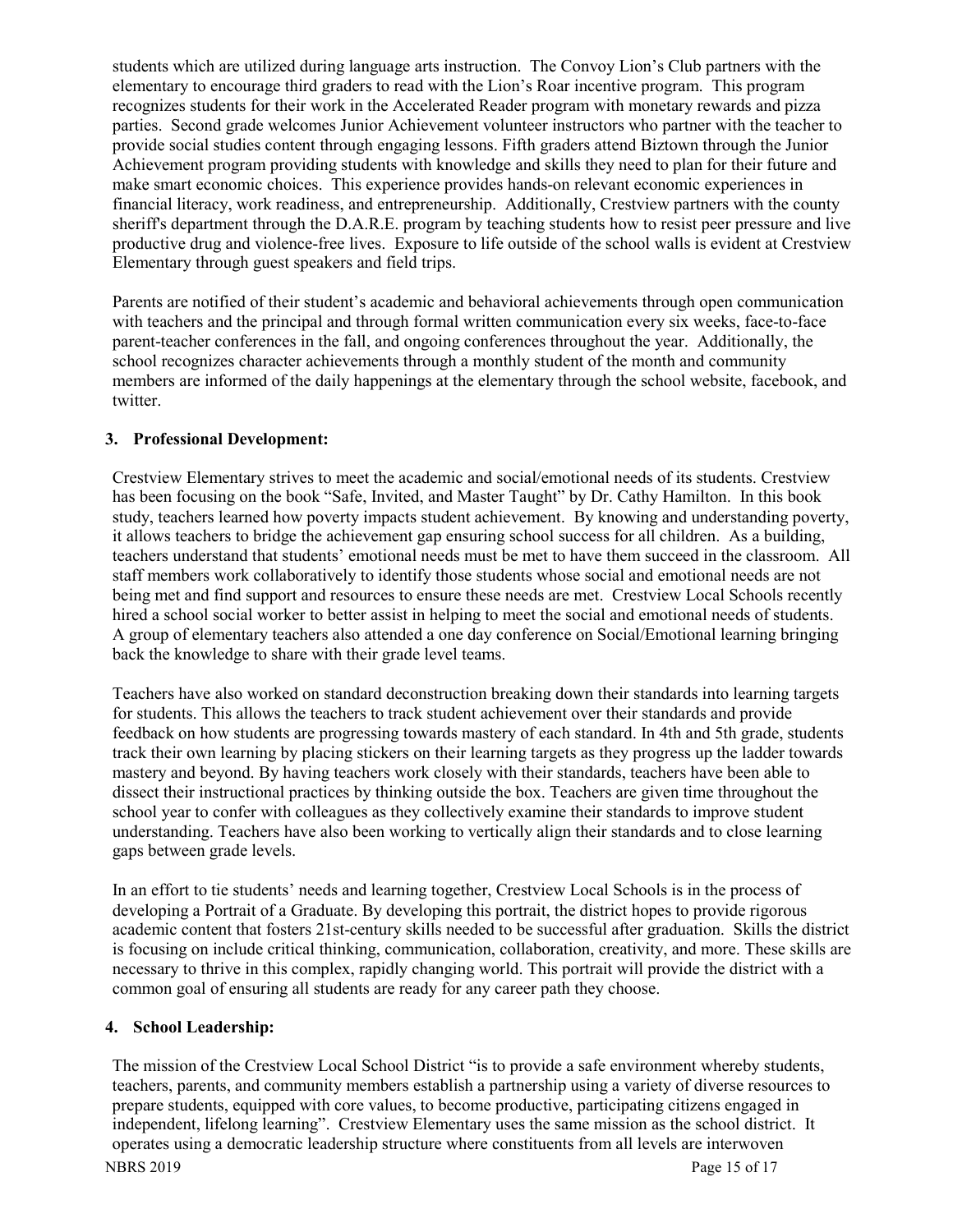students which are utilized during language arts instruction. The Convoy Lion's Club partners with the elementary to encourage third graders to read with the Lion's Roar incentive program. This program recognizes students for their work in the Accelerated Reader program with monetary rewards and pizza parties. Second grade welcomes Junior Achievement volunteer instructors who partner with the teacher to provide social studies content through engaging lessons. Fifth graders attend Biztown through the Junior Achievement program providing students with knowledge and skills they need to plan for their future and make smart economic choices. This experience provides hands-on relevant economic experiences in financial literacy, work readiness, and entrepreneurship. Additionally, Crestview partners with the county sheriff's department through the D.A.R.E. program by teaching students how to resist peer pressure and live productive drug and violence-free lives. Exposure to life outside of the school walls is evident at Crestview Elementary through guest speakers and field trips.

Parents are notified of their student's academic and behavioral achievements through open communication with teachers and the principal and through formal written communication every six weeks, face-to-face parent-teacher conferences in the fall, and ongoing conferences throughout the year. Additionally, the school recognizes character achievements through a monthly student of the month and community members are informed of the daily happenings at the elementary through the school website, facebook, and twitter.

## **3. Professional Development:**

Crestview Elementary strives to meet the academic and social/emotional needs of its students. Crestview has been focusing on the book "Safe, Invited, and Master Taught" by Dr. Cathy Hamilton. In this book study, teachers learned how poverty impacts student achievement. By knowing and understanding poverty, it allows teachers to bridge the achievement gap ensuring school success for all children. As a building, teachers understand that students' emotional needs must be met to have them succeed in the classroom. All staff members work collaboratively to identify those students whose social and emotional needs are not being met and find support and resources to ensure these needs are met. Crestview Local Schools recently hired a school social worker to better assist in helping to meet the social and emotional needs of students. A group of elementary teachers also attended a one day conference on Social/Emotional learning bringing back the knowledge to share with their grade level teams.

Teachers have also worked on standard deconstruction breaking down their standards into learning targets for students. This allows the teachers to track student achievement over their standards and provide feedback on how students are progressing towards mastery of each standard. In 4th and 5th grade, students track their own learning by placing stickers on their learning targets as they progress up the ladder towards mastery and beyond. By having teachers work closely with their standards, teachers have been able to dissect their instructional practices by thinking outside the box. Teachers are given time throughout the school year to confer with colleagues as they collectively examine their standards to improve student understanding. Teachers have also been working to vertically align their standards and to close learning gaps between grade levels.

In an effort to tie students' needs and learning together, Crestview Local Schools is in the process of developing a Portrait of a Graduate. By developing this portrait, the district hopes to provide rigorous academic content that fosters 21st-century skills needed to be successful after graduation. Skills the district is focusing on include critical thinking, communication, collaboration, creativity, and more. These skills are necessary to thrive in this complex, rapidly changing world. This portrait will provide the district with a common goal of ensuring all students are ready for any career path they choose.

# **4. School Leadership:**

The mission of the Crestview Local School District "is to provide a safe environment whereby students, teachers, parents, and community members establish a partnership using a variety of diverse resources to prepare students, equipped with core values, to become productive, participating citizens engaged in independent, lifelong learning". Crestview Elementary uses the same mission as the school district. It operates using a democratic leadership structure where constituents from all levels are interwoven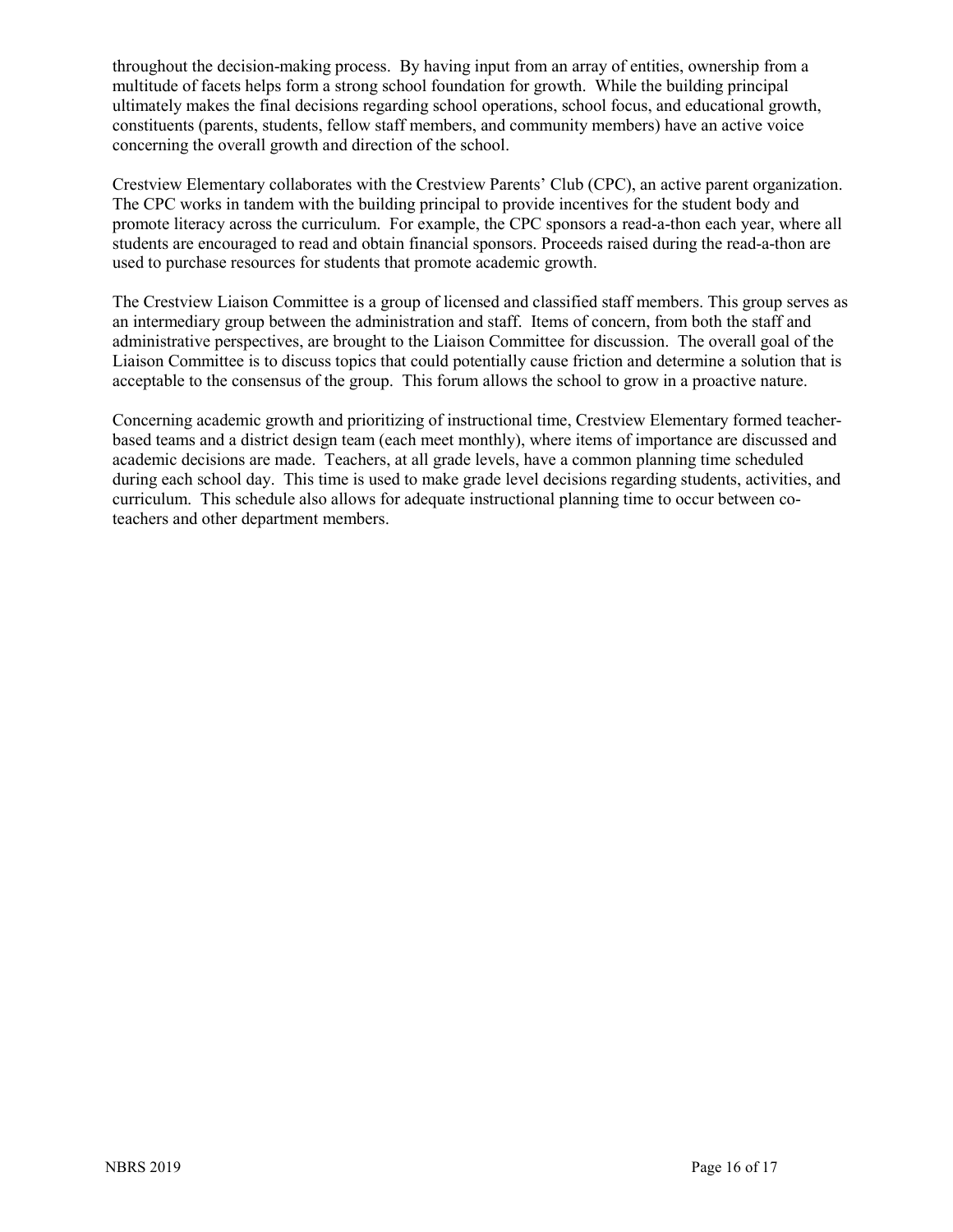throughout the decision-making process. By having input from an array of entities, ownership from a multitude of facets helps form a strong school foundation for growth. While the building principal ultimately makes the final decisions regarding school operations, school focus, and educational growth, constituents (parents, students, fellow staff members, and community members) have an active voice concerning the overall growth and direction of the school.

Crestview Elementary collaborates with the Crestview Parents' Club (CPC), an active parent organization. The CPC works in tandem with the building principal to provide incentives for the student body and promote literacy across the curriculum. For example, the CPC sponsors a read-a-thon each year, where all students are encouraged to read and obtain financial sponsors. Proceeds raised during the read-a-thon are used to purchase resources for students that promote academic growth.

The Crestview Liaison Committee is a group of licensed and classified staff members. This group serves as an intermediary group between the administration and staff. Items of concern, from both the staff and administrative perspectives, are brought to the Liaison Committee for discussion. The overall goal of the Liaison Committee is to discuss topics that could potentially cause friction and determine a solution that is acceptable to the consensus of the group. This forum allows the school to grow in a proactive nature.

Concerning academic growth and prioritizing of instructional time, Crestview Elementary formed teacherbased teams and a district design team (each meet monthly), where items of importance are discussed and academic decisions are made. Teachers, at all grade levels, have a common planning time scheduled during each school day. This time is used to make grade level decisions regarding students, activities, and curriculum. This schedule also allows for adequate instructional planning time to occur between coteachers and other department members.